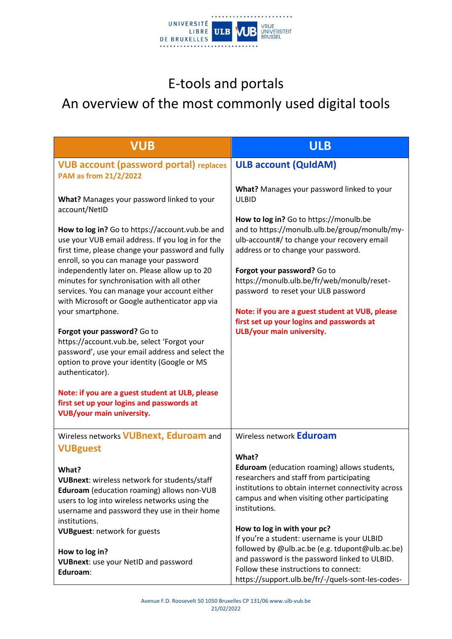

## E-tools and portals

## An overview of the most commonly used digital tools

| <b>VUB</b>                                                                                                                                                                                                                                                                                                                                                                                                                                                                                                                                                                                                                                                                                                                                                                                                                       | <b>ULB</b>                                                                                                                                                                                                                                                                                                                                                                                                                                                                                   |
|----------------------------------------------------------------------------------------------------------------------------------------------------------------------------------------------------------------------------------------------------------------------------------------------------------------------------------------------------------------------------------------------------------------------------------------------------------------------------------------------------------------------------------------------------------------------------------------------------------------------------------------------------------------------------------------------------------------------------------------------------------------------------------------------------------------------------------|----------------------------------------------------------------------------------------------------------------------------------------------------------------------------------------------------------------------------------------------------------------------------------------------------------------------------------------------------------------------------------------------------------------------------------------------------------------------------------------------|
| <b>VUB account (password portal) replaces</b><br>PAM as from 21/2/2022                                                                                                                                                                                                                                                                                                                                                                                                                                                                                                                                                                                                                                                                                                                                                           | <b>ULB account (QuidAM)</b>                                                                                                                                                                                                                                                                                                                                                                                                                                                                  |
| What? Manages your password linked to your<br>account/NetID<br>How to log in? Go to https://account.vub.be and<br>use your VUB email address. If you log in for the<br>first time, please change your password and fully<br>enroll, so you can manage your password<br>independently later on. Please allow up to 20<br>minutes for synchronisation with all other<br>services. You can manage your account either<br>with Microsoft or Google authenticator app via<br>your smartphone.<br>Forgot your password? Go to<br>https://account.vub.be, select 'Forgot your<br>password', use your email address and select the<br>option to prove your identity (Google or MS<br>authenticator).<br>Note: if you are a guest student at ULB, please<br>first set up your logins and passwords at<br><b>VUB/your main university.</b> | What? Manages your password linked to your<br><b>ULBID</b><br>How to log in? Go to https://monulb.be<br>and to https://monulb.ulb.be/group/monulb/my-<br>ulb-account#/ to change your recovery email<br>address or to change your password.<br>Forgot your password? Go to<br>https://monulb.ulb.be/fr/web/monulb/reset-<br>password to reset your ULB password<br>Note: if you are a guest student at VUB, please<br>first set up your logins and passwords at<br>ULB/your main university. |
| Wireless networks <b>VUBnext</b> , Eduroam and<br><b>VUBguest</b>                                                                                                                                                                                                                                                                                                                                                                                                                                                                                                                                                                                                                                                                                                                                                                | Wireless network <b>Eduroam</b>                                                                                                                                                                                                                                                                                                                                                                                                                                                              |
| What?<br>VUBnext: wireless network for students/staff<br>Eduroam (education roaming) allows non-VUB<br>users to log into wireless networks using the<br>username and password they use in their home                                                                                                                                                                                                                                                                                                                                                                                                                                                                                                                                                                                                                             | What?<br>Eduroam (education roaming) allows students,<br>researchers and staff from participating<br>institutions to obtain internet connectivity across<br>campus and when visiting other participating<br>institutions.                                                                                                                                                                                                                                                                    |
| institutions.<br><b>VUBguest: network for guests</b>                                                                                                                                                                                                                                                                                                                                                                                                                                                                                                                                                                                                                                                                                                                                                                             | How to log in with your pc?<br>If you're a student: username is your ULBID                                                                                                                                                                                                                                                                                                                                                                                                                   |
| How to log in?<br><b>VUBnext:</b> use your NetID and password<br>Eduroam:                                                                                                                                                                                                                                                                                                                                                                                                                                                                                                                                                                                                                                                                                                                                                        | followed by @ulb.ac.be (e.g. tdupont@ulb.ac.be)<br>and password is the password linked to ULBID.<br>Follow these instructions to connect:<br>https://support.ulb.be/fr/-/quels-sont-les-codes-                                                                                                                                                                                                                                                                                               |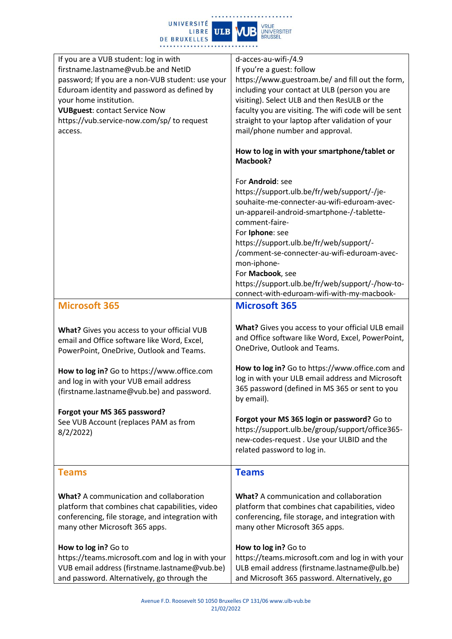

| If you are a VUB student: log in with<br>firstname.lastname@vub.be and NetID<br>password; If you are a non-VUB student: use your<br>Eduroam identity and password as defined by<br>your home institution.<br><b>VUBguest: contact Service Now</b><br>https://vub.service-now.com/sp/ to request<br>access. | d-acces-au-wifi-/4.9<br>If you're a guest: follow<br>https://www.guestroam.be/ and fill out the form,<br>including your contact at ULB (person you are<br>visiting). Select ULB and then ResULB or the<br>faculty you are visiting. The wifi code will be sent<br>straight to your laptop after validation of your<br>mail/phone number and approval.                                                                           |
|------------------------------------------------------------------------------------------------------------------------------------------------------------------------------------------------------------------------------------------------------------------------------------------------------------|---------------------------------------------------------------------------------------------------------------------------------------------------------------------------------------------------------------------------------------------------------------------------------------------------------------------------------------------------------------------------------------------------------------------------------|
|                                                                                                                                                                                                                                                                                                            | How to log in with your smartphone/tablet or<br><b>Macbook?</b>                                                                                                                                                                                                                                                                                                                                                                 |
|                                                                                                                                                                                                                                                                                                            | For Android: see<br>https://support.ulb.be/fr/web/support/-/je-<br>souhaite-me-connecter-au-wifi-eduroam-avec-<br>un-appareil-android-smartphone-/-tablette-<br>comment-faire-<br>For Iphone: see<br>https://support.ulb.be/fr/web/support/-<br>/comment-se-connecter-au-wifi-eduroam-avec-<br>mon-iphone-<br>For Macbook, see<br>https://support.ulb.be/fr/web/support/-/how-to-<br>connect-with-eduroam-wifi-with-my-macbook- |
| <b>Microsoft 365</b>                                                                                                                                                                                                                                                                                       | <b>Microsoft 365</b>                                                                                                                                                                                                                                                                                                                                                                                                            |
| What? Gives you access to your official VUB<br>email and Office software like Word, Excel,<br>PowerPoint, OneDrive, Outlook and Teams.                                                                                                                                                                     | What? Gives you access to your official ULB email<br>and Office software like Word, Excel, PowerPoint,<br>OneDrive, Outlook and Teams.                                                                                                                                                                                                                                                                                          |
| How to log in? Go to https://www.office.com<br>and log in with your VUB email address<br>(firstname.lastname@vub.be) and password.                                                                                                                                                                         | How to log in? Go to https://www.office.com and<br>log in with your ULB email address and Microsoft<br>365 password (defined in MS 365 or sent to you<br>by email).                                                                                                                                                                                                                                                             |
| Forgot your MS 365 password?<br>See VUB Account (replaces PAM as from<br>8/2/2022                                                                                                                                                                                                                          | Forgot your MS 365 login or password? Go to<br>https://support.ulb.be/group/support/office365-<br>new-codes-request. Use your ULBID and the<br>related password to log in.                                                                                                                                                                                                                                                      |
| <b>Teams</b>                                                                                                                                                                                                                                                                                               | <b>Teams</b>                                                                                                                                                                                                                                                                                                                                                                                                                    |
| <b>What?</b> A communication and collaboration<br>platform that combines chat capabilities, video<br>conferencing, file storage, and integration with<br>many other Microsoft 365 apps.                                                                                                                    | <b>What?</b> A communication and collaboration<br>platform that combines chat capabilities, video<br>conferencing, file storage, and integration with<br>many other Microsoft 365 apps.                                                                                                                                                                                                                                         |
| How to log in? Go to<br>https://teams.microsoft.com and log in with your<br>VUB email address (firstname.lastname@vub.be)<br>and password. Alternatively, go through the                                                                                                                                   | How to log in? Go to<br>https://teams.microsoft.com and log in with your<br>ULB email address (firstname.lastname@ulb.be)<br>and Microsoft 365 password. Alternatively, go                                                                                                                                                                                                                                                      |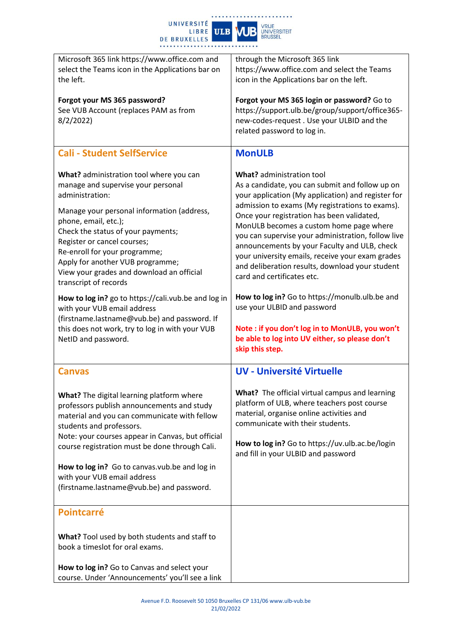

| Microsoft 365 link https://www.office.com and<br>select the Teams icon in the Applications bar on                                                                                                                                                                                                                                                                                                                                                                                                                                                                               | through the Microsoft 365 link<br>https://www.office.com and select the Teams                                                                                                                                                                                                                                                                                                                                                                                                                                                                                                                                                                                |
|---------------------------------------------------------------------------------------------------------------------------------------------------------------------------------------------------------------------------------------------------------------------------------------------------------------------------------------------------------------------------------------------------------------------------------------------------------------------------------------------------------------------------------------------------------------------------------|--------------------------------------------------------------------------------------------------------------------------------------------------------------------------------------------------------------------------------------------------------------------------------------------------------------------------------------------------------------------------------------------------------------------------------------------------------------------------------------------------------------------------------------------------------------------------------------------------------------------------------------------------------------|
| the left.                                                                                                                                                                                                                                                                                                                                                                                                                                                                                                                                                                       | icon in the Applications bar on the left.                                                                                                                                                                                                                                                                                                                                                                                                                                                                                                                                                                                                                    |
| Forgot your MS 365 password?<br>See VUB Account (replaces PAM as from<br>8/2/2022                                                                                                                                                                                                                                                                                                                                                                                                                                                                                               | Forgot your MS 365 login or password? Go to<br>https://support.ulb.be/group/support/office365-<br>new-codes-request. Use your ULBID and the<br>related password to log in.                                                                                                                                                                                                                                                                                                                                                                                                                                                                                   |
| <b>Cali - Student SelfService</b>                                                                                                                                                                                                                                                                                                                                                                                                                                                                                                                                               | <b>MonULB</b>                                                                                                                                                                                                                                                                                                                                                                                                                                                                                                                                                                                                                                                |
| What? administration tool where you can<br>manage and supervise your personal<br>administration:<br>Manage your personal information (address,<br>phone, email, etc.);<br>Check the status of your payments;<br>Register or cancel courses;<br>Re-enroll for your programme;<br>Apply for another VUB programme;<br>View your grades and download an official<br>transcript of records<br>How to log in? go to https://cali.vub.be and log in<br>with your VUB email address<br>(firstname.lastname@vub.be) and password. If<br>this does not work, try to log in with your VUB | What? administration tool<br>As a candidate, you can submit and follow up on<br>your application (My application) and register for<br>admission to exams (My registrations to exams).<br>Once your registration has been validated,<br>MonULB becomes a custom home page where<br>you can supervise your administration, follow live<br>announcements by your Faculty and ULB, check<br>your university emails, receive your exam grades<br>and deliberation results, download your student<br>card and certificates etc.<br>How to log in? Go to https://monulb.ulb.be and<br>use your ULBID and password<br>Note: if you don't log in to MonULB, you won't |
| NetID and password.                                                                                                                                                                                                                                                                                                                                                                                                                                                                                                                                                             | be able to log into UV either, so please don't<br>skip this step.                                                                                                                                                                                                                                                                                                                                                                                                                                                                                                                                                                                            |
| <b>Canvas</b>                                                                                                                                                                                                                                                                                                                                                                                                                                                                                                                                                                   | <b>UV - Université Virtuelle</b>                                                                                                                                                                                                                                                                                                                                                                                                                                                                                                                                                                                                                             |
| What? The digital learning platform where<br>professors publish announcements and study<br>material and you can communicate with fellow<br>students and professors.<br>Note: your courses appear in Canvas, but official<br>course registration must be done through Cali.                                                                                                                                                                                                                                                                                                      | What? The official virtual campus and learning<br>platform of ULB, where teachers post course<br>material, organise online activities and<br>communicate with their students.<br>How to log in? Go to https://uv.ulb.ac.be/login                                                                                                                                                                                                                                                                                                                                                                                                                             |
| How to log in? Go to canvas.vub.be and log in                                                                                                                                                                                                                                                                                                                                                                                                                                                                                                                                   | and fill in your ULBID and password                                                                                                                                                                                                                                                                                                                                                                                                                                                                                                                                                                                                                          |
| with your VUB email address<br>(firstname.lastname@vub.be) and password.                                                                                                                                                                                                                                                                                                                                                                                                                                                                                                        |                                                                                                                                                                                                                                                                                                                                                                                                                                                                                                                                                                                                                                                              |
| <b>Pointcarré</b>                                                                                                                                                                                                                                                                                                                                                                                                                                                                                                                                                               |                                                                                                                                                                                                                                                                                                                                                                                                                                                                                                                                                                                                                                                              |
| What? Tool used by both students and staff to<br>book a timeslot for oral exams.                                                                                                                                                                                                                                                                                                                                                                                                                                                                                                |                                                                                                                                                                                                                                                                                                                                                                                                                                                                                                                                                                                                                                                              |
| How to log in? Go to Canvas and select your<br>course. Under 'Announcements' you'll see a link                                                                                                                                                                                                                                                                                                                                                                                                                                                                                  |                                                                                                                                                                                                                                                                                                                                                                                                                                                                                                                                                                                                                                                              |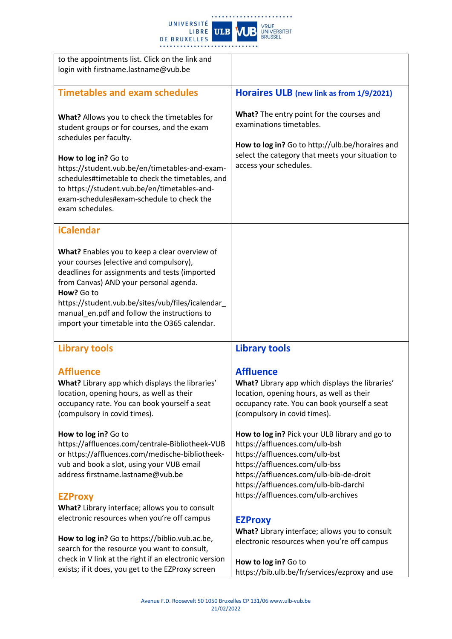

| to the appointments list. Click on the link and<br>login with firstname.lastname@vub.be                                                                                                                                                                                                                                                                                     |                                                                                                                                                                                                                                                                                 |
|-----------------------------------------------------------------------------------------------------------------------------------------------------------------------------------------------------------------------------------------------------------------------------------------------------------------------------------------------------------------------------|---------------------------------------------------------------------------------------------------------------------------------------------------------------------------------------------------------------------------------------------------------------------------------|
| <b>Timetables and exam schedules</b>                                                                                                                                                                                                                                                                                                                                        | Horaires ULB (new link as from 1/9/2021)                                                                                                                                                                                                                                        |
| What? Allows you to check the timetables for<br>student groups or for courses, and the exam<br>schedules per faculty.<br>How to log in? Go to<br>https://student.vub.be/en/timetables-and-exam-<br>schedules#timetable to check the timetables, and<br>to https://student.vub.be/en/timetables-and-<br>exam-schedules#exam-schedule to check the<br>exam schedules.         | What? The entry point for the courses and<br>examinations timetables.<br>How to log in? Go to http://ulb.be/horaires and<br>select the category that meets your situation to<br>access your schedules.                                                                          |
| <b>iCalendar</b><br>What? Enables you to keep a clear overview of<br>your courses (elective and compulsory),<br>deadlines for assignments and tests (imported<br>from Canvas) AND your personal agenda.<br>How? Go to<br>https://student.vub.be/sites/vub/files/icalendar_<br>manual_en.pdf and follow the instructions to<br>import your timetable into the O365 calendar. |                                                                                                                                                                                                                                                                                 |
| <b>Library tools</b>                                                                                                                                                                                                                                                                                                                                                        | <b>Library tools</b>                                                                                                                                                                                                                                                            |
| <b>Affluence</b><br>What? Library app which displays the libraries'<br>location, opening hours, as well as their<br>occupancy rate. You can book yourself a seat<br>(compulsory in covid times).                                                                                                                                                                            | <b>Affluence</b><br>What? Library app which displays the libraries'<br>location, opening hours, as well as their<br>occupancy rate. You can book yourself a seat<br>(compulsory in covid times).                                                                                |
| How to log in? Go to<br>https://affluences.com/centrale-Bibliotheek-VUB<br>or https://affluences.com/medische-bibliotheek-<br>vub and book a slot, using your VUB email<br>address firstname.lastname@vub.be<br><b>EZProxy</b>                                                                                                                                              | How to log in? Pick your ULB library and go to<br>https://affluences.com/ulb-bsh<br>https://affluences.com/ulb-bst<br>https://affluences.com/ulb-bss<br>https://affluences.com/ulb-bib-de-droit<br>https://affluences.com/ulb-bib-darchi<br>https://affluences.com/ulb-archives |
| What? Library interface; allows you to consult<br>electronic resources when you're off campus<br>How to log in? Go to https://biblio.vub.ac.be,<br>search for the resource you want to consult,                                                                                                                                                                             | <b>EZProxy</b><br>What? Library interface; allows you to consult<br>electronic resources when you're off campus                                                                                                                                                                 |
| check in V link at the right if an electronic version<br>exists; if it does, you get to the EZProxy screen                                                                                                                                                                                                                                                                  | How to log in? Go to<br>https://bib.ulb.be/fr/services/ezproxy and use                                                                                                                                                                                                          |